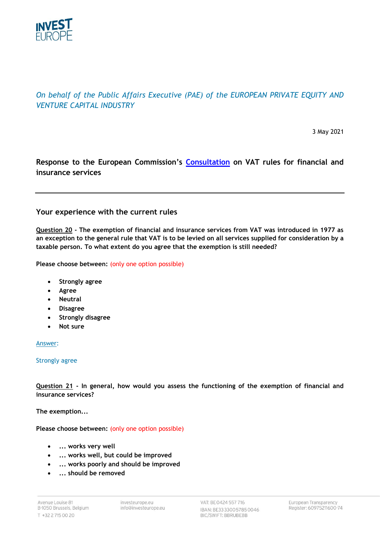

# *On behalf of the Public Affairs Executive (PAE) of the EUROPEAN PRIVATE EQUITY AND VENTURE CAPITAL INDUSTRY*

3 May 2021

# **Response to the European Commission's [Consultation](https://ec.europa.eu/info/law/better-regulation/have-your-say/initiatives/12671-Review-of-the-VAT-rules-for-financial-and-insurance-services/public-consultation) on VAT rules for financial and insurance services**

# **Your experience with the current rules**

**Question 20 - The exemption of financial and insurance services from VAT was introduced in 1977 as an exception to the general rule that VAT is to be levied on all services supplied for consideration by a taxable person. To what extent do you agree that the exemption is still needed?**

Please choose between: (only one option possible)

- **Strongly agree**
- **Agree**
- **Neutral**
- **Disagree**
- **Strongly disagree**
- **Not sure**

Answer:

### Strongly agree

**Question 21 - In general, how would you assess the functioning of the exemption of financial and insurance services?**

**The exemption...**

Please choose between: (only one option possible)

- **... works very well**
- **... works well, but could be improved**
- **... works poorly and should be improved**
- **... should be removed**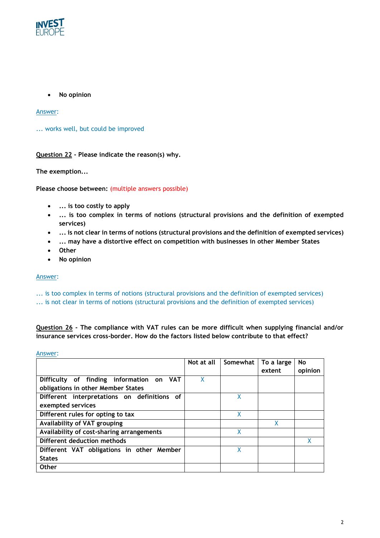

• **No opinion**

Answer:

... works well, but could be improved

**Question 22 - Please indicate the reason(s) why.**

**The exemption...**

**Please choose between:** (multiple answers possible)

- **... is too costly to apply**
- **... is too complex in terms of notions (structural provisions and the definition of exempted services)**
- **... is not clear in terms of notions (structural provisions and the definition of exempted services)**
- **... may have a distortive effect on competition with businesses in other Member States**
- **Other**
- **No opinion**

#### Answer:

... is too complex in terms of notions (structural provisions and the definition of exempted services)

... is not clear in terms of notions (structural provisions and the definition of exempted services)

# **Question 26 - The compliance with VAT rules can be more difficult when supplying financial and/or insurance services cross-border. How do the factors listed below contribute to that effect?**

Answer:

|                                             | Not at all | Somewhat | To a large | No      |
|---------------------------------------------|------------|----------|------------|---------|
|                                             |            |          | extent     | opinion |
| Difficulty of finding information on VAT    | X          |          |            |         |
| obligations in other Member States          |            |          |            |         |
| Different interpretations on definitions of |            | χ        |            |         |
| exempted services                           |            |          |            |         |
| Different rules for opting to tax           |            | χ        |            |         |
| Availability of VAT grouping                |            |          | χ          |         |
| Availability of cost-sharing arrangements   |            | χ        |            |         |
| Different deduction methods                 |            |          |            |         |
| Different VAT obligations in other Member   |            | X        |            |         |
| <b>States</b>                               |            |          |            |         |
| <b>Other</b>                                |            |          |            |         |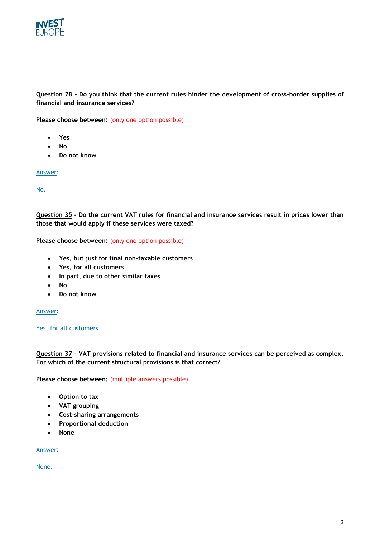

# **Question 28 - Do you think that the current rules hinder the development of cross-border supplies of financial and insurance services?**

Please choose between: (only one option possible)

- **Yes**
- **No**
- **Do not know**

Answer:

No.

**Question 35 - Do the current VAT rules for financial and insurance services result in prices lower than those that would apply if these services were taxed?**

Please choose between: (only one option possible)

- **Yes, but just for final non-taxable customers**
- **Yes, for all customers**
- **In part, due to other similar taxes**
- **No**
- **Do not know**

Answer:

Yes, for all customers

**Question 37 - VAT provisions related to financial and insurance services can be perceived as complex. For which of the current structural provisions is that correct?**

**Please choose between:** (multiple answers possible)

- **Option to tax**
- **VAT grouping**
- **Cost-sharing arrangements**
- **Proportional deduction**
- **None**

Answer:

None.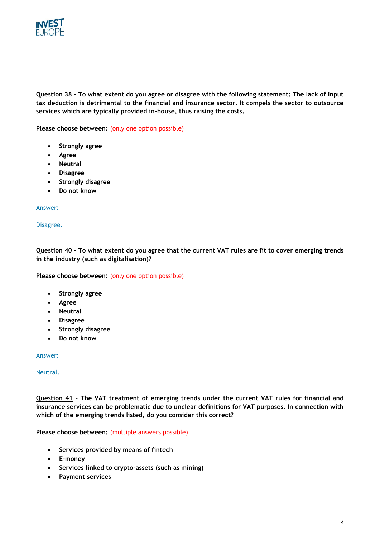

**Question 38 - To what extent do you agree or disagree with the following statement: The lack of input tax deduction is detrimental to the financial and insurance sector. It compels the sector to outsource services which are typically provided in-house, thus raising the costs.**

Please choose between: (only one option possible)

- **Strongly agree**
- **Agree**
- **Neutral**
- **Disagree**
- **Strongly disagree**
- **Do not know**

### Answer:

#### Disagree.

**Question 40 - To what extent do you agree that the current VAT rules are fit to cover emerging trends in the industry (such as digitalisation)?**

Please choose between: (only one option possible)

- **Strongly agree**
- **Agree**
- **Neutral**
- **Disagree**
- **Strongly disagree**
- **Do not know**

### Answer:

#### Neutral.

**Question 41 - The VAT treatment of emerging trends under the current VAT rules for financial and insurance services can be problematic due to unclear definitions for VAT purposes. In connection with which of the emerging trends listed, do you consider this correct?**

**Please choose between:** (multiple answers possible)

- **Services provided by means of fintech**
- **E-money**
- **Services linked to crypto-assets (such as mining)**
- **Payment services**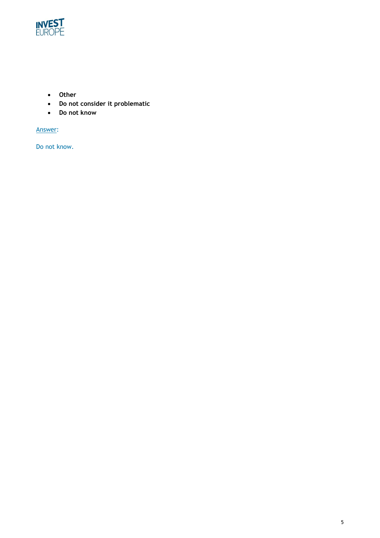

- **Other**
- **Do not consider it problematic**
- **Do not know**

Answer:

Do not know.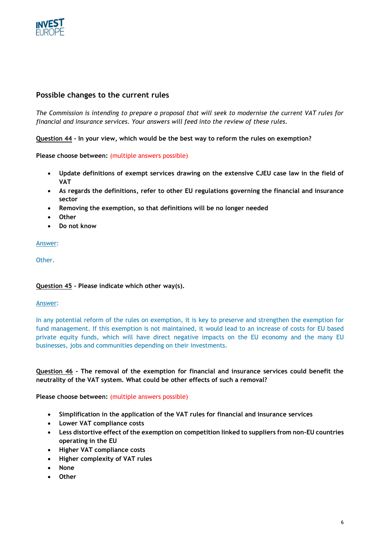

# **Possible changes to the current rules**

*The Commission is intending to prepare a proposal that will seek to modernise the current VAT rules for financial and insurance services. Your answers will feed into the review of these rules.*

**Question 44 - In your view, which would be the best way to reform the rules on exemption?**

**Please choose between:** (multiple answers possible)

- **Update definitions of exempt services drawing on the extensive CJEU case law in the field of VAT**
- **As regards the definitions, refer to other EU regulations governing the financial and insurance sector**
- **Removing the exemption, so that definitions will be no longer needed**
- **Other**
- **Do not know**

#### Answer:

Other.

## **Question 45 - Please indicate which other way(s).**

#### Answer:

In any potential reform of the rules on exemption, it is key to preserve and strengthen the exemption for fund management. If this exemption is not maintained, it would lead to an increase of costs for EU based private equity funds, which will have direct negative impacts on the EU economy and the many EU businesses, jobs and communities depending on their investments.

## **Question 46 - The removal of the exemption for financial and insurance services could benefit the neutrality of the VAT system. What could be other effects of such a removal?**

**Please choose between:** (multiple answers possible)

- **Simplification in the application of the VAT rules for financial and insurance services**
- **Lower VAT compliance costs**
- **Less distortive effect of the exemption on competition linked to suppliers from non-EU countries operating in the EU**
- **Higher VAT compliance costs**
- **Higher complexity of VAT rules**
- **None**
- **Other**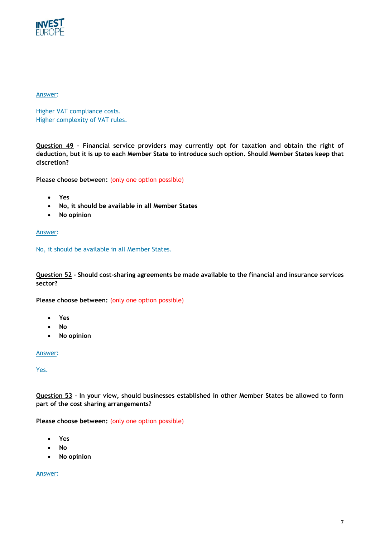

## Answer:

Higher VAT compliance costs. Higher complexity of VAT rules.

**Question 49 - Financial service providers may currently opt for taxation and obtain the right of deduction, but it is up to each Member State to introduce such option. Should Member States keep that discretion?**

Please choose between: (only one option possible)

- **Yes**
- **No, it should be available in all Member States**
- **No opinion**

## Answer:

No, it should be available in all Member States.

**Question 52 - Should cost-sharing agreements be made available to the financial and insurance services sector?**

Please choose between: (only one option possible)

- **Yes**
- **No**
- **No opinion**

# Answer:

Yes.

**Question 53 - In your view, should businesses established in other Member States be allowed to form part of the cost sharing arrangements?**

Please choose between: (only one option possible)

- **Yes**
- **No**
- **No opinion**

Answer: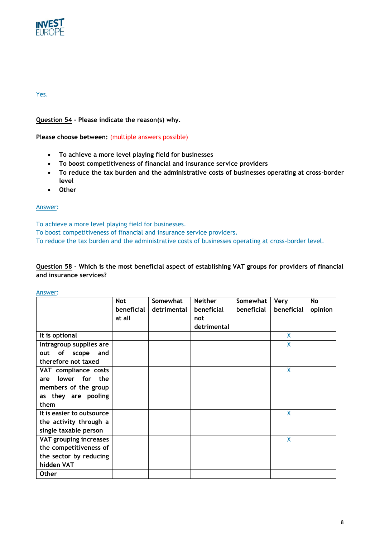

## Yes.

**Question 54 - Please indicate the reason(s) why.**

**Please choose between:** (multiple answers possible)

- **To achieve a more level playing field for businesses**
- **To boost competitiveness of financial and insurance service providers**
- **To reduce the tax burden and the administrative costs of businesses operating at cross-border level**
- **Other**

# Answer:

To achieve a more level playing field for businesses.

To boost competitiveness of financial and insurance service providers.

To reduce the tax burden and the administrative costs of businesses operating at cross-border level.

# **Question 58 - Which is the most beneficial aspect of establishing VAT groups for providers of financial and insurance services?**

Answer:

|                           | <b>Not</b> | Somewhat    | <b>Neither</b> | Somewhat   | <b>Very</b> | No      |
|---------------------------|------------|-------------|----------------|------------|-------------|---------|
|                           | beneficial | detrimental | beneficial     | beneficial | beneficial  | opinion |
|                           | at all     |             | not            |            |             |         |
|                           |            |             | detrimental    |            |             |         |
| It is optional            |            |             |                |            | X           |         |
| Intragroup supplies are   |            |             |                |            | X           |         |
| of scope<br>out<br>and    |            |             |                |            |             |         |
| therefore not taxed       |            |             |                |            |             |         |
| VAT compliance costs      |            |             |                |            | X           |         |
| lower for the<br>are      |            |             |                |            |             |         |
| members of the group      |            |             |                |            |             |         |
| as they are pooling       |            |             |                |            |             |         |
| them                      |            |             |                |            |             |         |
| It is easier to outsource |            |             |                |            | X           |         |
| the activity through a    |            |             |                |            |             |         |
| single taxable person     |            |             |                |            |             |         |
| VAT grouping increases    |            |             |                |            | X           |         |
| the competitiveness of    |            |             |                |            |             |         |
| the sector by reducing    |            |             |                |            |             |         |
| hidden VAT                |            |             |                |            |             |         |
| <b>Other</b>              |            |             |                |            |             |         |